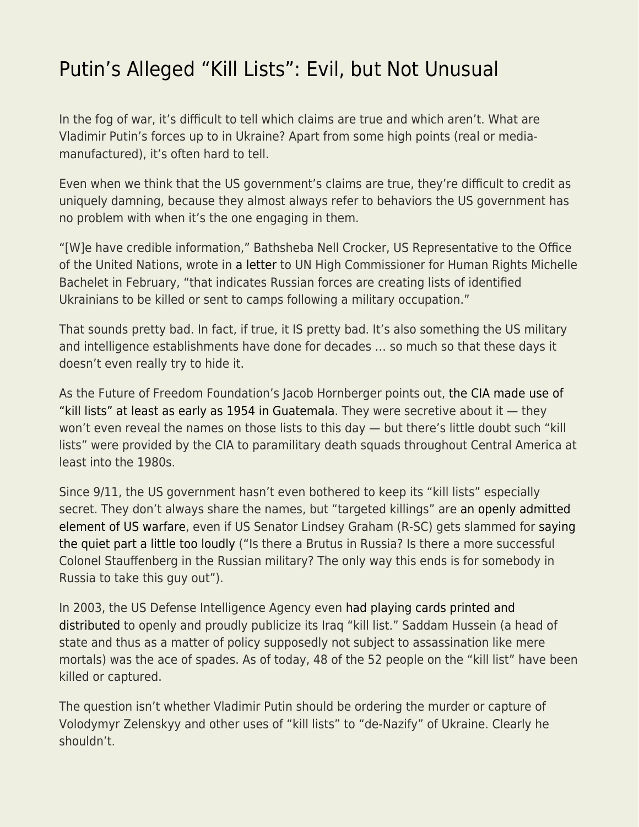## [Putin's Alleged "Kill Lists": Evil, but Not Unusual](https://everything-voluntary.com/putins-alleged-kill-lists-evil-but-not-unusual)

In the fog of war, it's difficult to tell which claims are true and which aren't. What are Vladimir Putin's forces up to in Ukraine? Apart from some high points (real or mediamanufactured), it's often hard to tell.

Even when we think that the US government's claims are true, they're difficult to credit as uniquely damning, because they almost always refer to behaviors the US government has no problem with when it's the one engaging in them.

"[W]e have credible information," Bathsheba Nell Crocker, US Representative to the Office of the United Nations, wrote in [a letter](https://www.washingtonpost.com/context/read-u-s-letter-to-the-u-n-alleging-russia-is-planning-human-rights-abuses-in-ukraine/93a8d6a1-5b44-4ae8-89e5-cd5d328dd150/?itid=lk_inline_manual_4) to UN High Commissioner for Human Rights Michelle Bachelet in February, "that indicates Russian forces are creating lists of identified Ukrainians to be killed or sent to camps following a military occupation."

That sounds pretty bad. In fact, if true, it IS pretty bad. It's also something the US military and intelligence establishments have done for decades … so much so that these days it doesn't even really try to hide it.

As the Future of Freedom Foundation's Jacob Hornberger points out, [the CIA made use of](https://www.fff.org/2022/03/07/kill-lists-in-ukraine-and-guatemala/) ["kill lists" at least as early as 1954 in Guatemala.](https://www.fff.org/2022/03/07/kill-lists-in-ukraine-and-guatemala/) They were secretive about it — they won't even reveal the names on those lists to this day — but there's little doubt such "kill lists" were provided by the CIA to paramilitary death squads throughout Central America at least into the 1980s.

Since 9/11, the US government hasn't even bothered to keep its "kill lists" especially secret. They don't always share the names, but "targeted killings" are [an openly admitted](https://www.cfr.org/blog/targeted-killings-and-americas-kill-lists) [element of US warfare](https://www.cfr.org/blog/targeted-killings-and-americas-kill-lists), even if US Senator Lindsey Graham (R-SC) gets slammed for [saying](https://twitter.com/LindseyGrahamSC/status/1499574209567199235) [the quiet part a little too loudly](https://twitter.com/LindseyGrahamSC/status/1499574209567199235) ("Is there a Brutus in Russia? Is there a more successful Colonel Stauffenberg in the Russian military? The only way this ends is for somebody in Russia to take this guy out").

In 2003, the US Defense Intelligence Agency even [had playing cards printed and](https://en.wikipedia.org/wiki/Most-wanted_Iraqi_playing_cards) [distributed](https://en.wikipedia.org/wiki/Most-wanted_Iraqi_playing_cards) to openly and proudly publicize its Iraq "kill list." Saddam Hussein (a head of state and thus as a matter of policy supposedly not subject to assassination like mere mortals) was the ace of spades. As of today, 48 of the 52 people on the "kill list" have been killed or captured.

The question isn't whether Vladimir Putin should be ordering the murder or capture of Volodymyr Zelenskyy and other uses of "kill lists" to "de-Nazify" of Ukraine. Clearly he shouldn't.